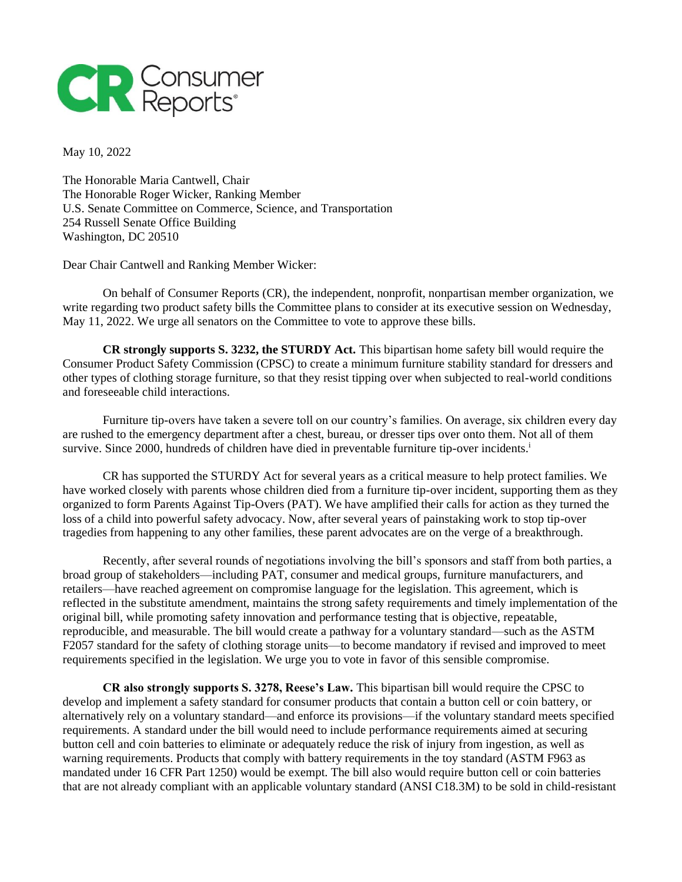

May 10, 2022

The Honorable Maria Cantwell, Chair The Honorable Roger Wicker, Ranking Member U.S. Senate Committee on Commerce, Science, and Transportation 254 Russell Senate Office Building Washington, DC 20510

Dear Chair Cantwell and Ranking Member Wicker:

On behalf of Consumer Reports (CR), the independent, nonprofit, nonpartisan member organization, we write regarding two product safety bills the Committee plans to consider at its executive session on Wednesday, May 11, 2022. We urge all senators on the Committee to vote to approve these bills.

**CR strongly supports S. 3232, the STURDY Act.** This bipartisan home safety bill would require the Consumer Product Safety Commission (CPSC) to create a minimum furniture stability standard for dressers and other types of clothing storage furniture, so that they resist tipping over when subjected to real-world conditions and foreseeable child interactions.

Furniture tip-overs have taken a severe toll on our country's families. On average, six children every day are rushed to the emergency department after a chest, bureau, or dresser tips over onto them. Not all of them survive. Since 2000, hundreds of children have died in preventable furniture tip-over incidents.<sup>i</sup>

CR has supported the STURDY Act for several years as a critical measure to help protect families. We have worked closely with parents whose children died from a furniture tip-over incident, supporting them as they organized to form Parents Against Tip-Overs (PAT). We have amplified their calls for action as they turned the loss of a child into powerful safety advocacy. Now, after several years of painstaking work to stop tip-over tragedies from happening to any other families, these parent advocates are on the verge of a breakthrough.

Recently, after several rounds of negotiations involving the bill's sponsors and staff from both parties, a broad group of stakeholders—including PAT, consumer and medical groups, furniture manufacturers, and retailers—have reached agreement on compromise language for the legislation. This agreement, which is reflected in the substitute amendment, maintains the strong safety requirements and timely implementation of the original bill, while promoting safety innovation and performance testing that is objective, repeatable, reproducible, and measurable. The bill would create a pathway for a voluntary standard—such as the ASTM F2057 standard for the safety of clothing storage units—to become mandatory if revised and improved to meet requirements specified in the legislation. We urge you to vote in favor of this sensible compromise.

**CR also strongly supports S. 3278, Reese's Law.** This bipartisan bill would require the CPSC to develop and implement a safety standard for consumer products that contain a button cell or coin battery, or alternatively rely on a voluntary standard—and enforce its provisions—if the voluntary standard meets specified requirements. A standard under the bill would need to include performance requirements aimed at securing button cell and coin batteries to eliminate or adequately reduce the risk of injury from ingestion, as well as warning requirements. Products that comply with battery requirements in the toy standard (ASTM F963 as mandated under 16 CFR Part 1250) would be exempt. The bill also would require button cell or coin batteries that are not already compliant with an applicable voluntary standard (ANSI C18.3M) to be sold in child-resistant